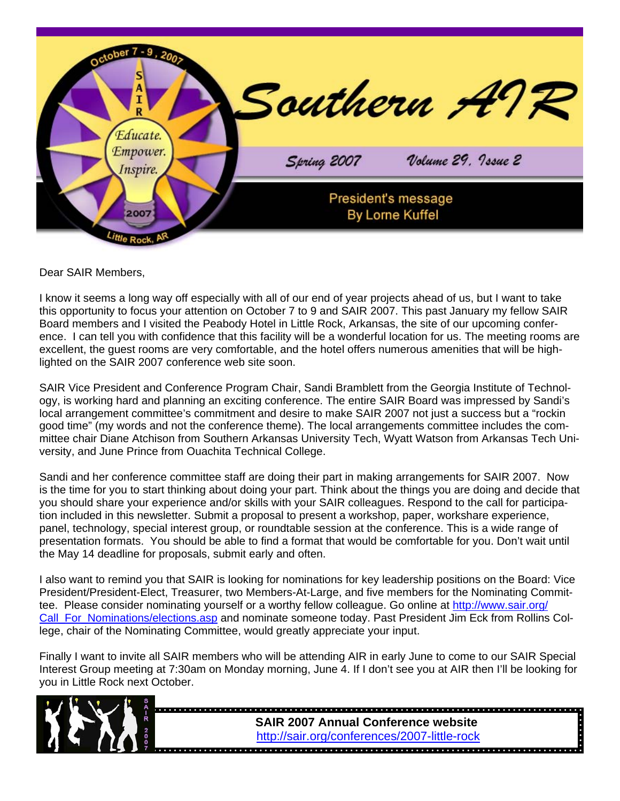

Dear SAIR Members,

I know it seems a long way off especially with all of our end of year projects ahead of us, but I want to take this opportunity to focus your attention on October 7 to 9 and SAIR 2007. This past January my fellow SAIR Board members and I visited the Peabody Hotel in Little Rock, Arkansas, the site of our upcoming conference. I can tell you with confidence that this facility will be a wonderful location for us. The meeting rooms are excellent, the guest rooms are very comfortable, and the hotel offers numerous amenities that will be highlighted on the SAIR 2007 conference web site soon.

SAIR Vice President and Conference Program Chair, Sandi Bramblett from the Georgia Institute of Technology, is working hard and planning an exciting conference. The entire SAIR Board was impressed by Sandi's local arrangement committee's commitment and desire to make SAIR 2007 not just a success but a "rockin good time" (my words and not the conference theme). The local arrangements committee includes the committee chair Diane Atchison from Southern Arkansas University Tech, Wyatt Watson from Arkansas Tech University, and June Prince from Ouachita Technical College.

Sandi and her conference committee staff are doing their part in making arrangements for SAIR 2007. Now is the time for you to start thinking about doing your part. Think about the things you are doing and decide that you should share your experience and/or skills with your SAIR colleagues. Respond to the call for participation included in this newsletter. Submit a proposal to present a workshop, paper, workshare experience, panel, technology, special interest group, or roundtable session at the conference. This is a wide range of presentation formats. You should be able to find a format that would be comfortable for you. Don't wait until the May 14 deadline for proposals, submit early and often.

I also want to remind you that SAIR is looking for nominations for key leadership positions on the Board: Vice President/President-Elect, Treasurer, two Members-At-Large, and five members for the Nominating Committee. Please consider nominating yourself or a worthy fellow colleague. Go online at [http://www.sair.org/](http://www.sair.org/call_for_nominations/elections.asp) [Call\\_For\\_Nominations/elections.asp a](http://www.sair.org/call_for_nominations/elections.asp)nd nominate someone today. Past President Jim Eck from Rollins College, chair of the Nominating Committee, would greatly appreciate your input.

Finally I want to invite all SAIR members who will be attending AIR in early June to come to our SAIR Special Interest Group meeting at 7:30am on Monday morning, June 4. If I don't see you at AIR then I'll be looking for you in Little Rock next October.



**SAIR 2007 Annual Conference website**  <http://sair.org/conferences/2007-little-rock>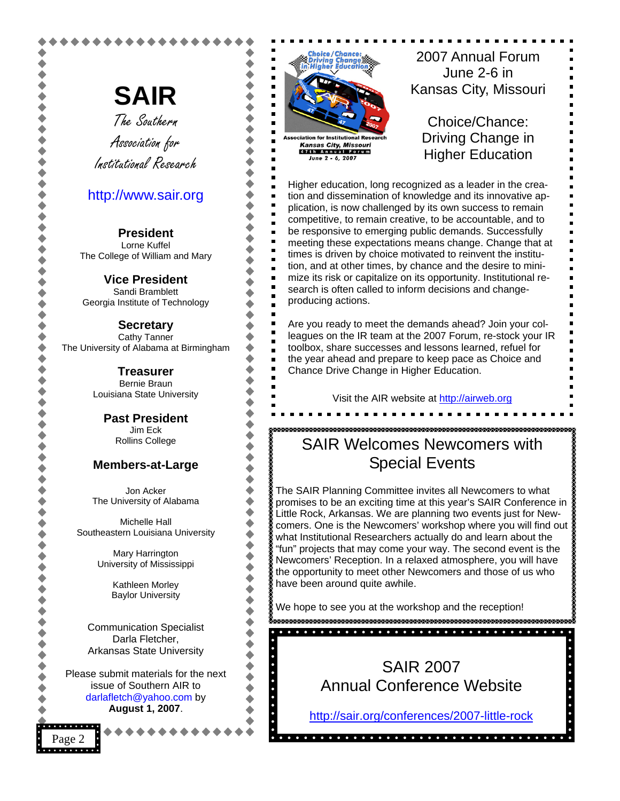**SAIR** The Southern Association for Institutional Research

### <http://www.sair.org>

**President**  Lorne Kuffel The College of William and Mary

**Vice President**  Sandi Bramblett Georgia Institute of Technology

**Secretary**  Cathy Tanner The University of Alabama at Birmingham

> **Treasurer**  Bernie Braun Louisiana State University

> > **Past President**  Jim Eck Rollins College

#### **Members-at-Large**

Jon Acker The University of Alabama

Michelle Hall Southeastern Louisiana University

> Mary Harrington University of Mississippi

> > Kathleen Morley Baylor University

Communication Specialist Darla Fletcher, Arkansas State University

Please submit materials for the next issue of Southern AIR to [darlafletch@yahoo.com](mailto:darlafletch@yahoo.com) by **August 1, 2007**.

Page 2

 $\blacksquare$ п  $\blacksquare$ **Kansas City, Missouri** 47th Annual Forun June 2 - 6, 2007

2007 Annual Forum June 2-6 in Kansas City, Missouri

Choice/Chance: Driving Change in Higher Education

Higher education, long recognized as a leader in the creation and dissemination of knowledge and its innovative application, is now challenged by its own success to remain competitive, to remain creative, to be accountable, and to be responsive to emerging public demands. Successfully meeting these expectations means change. Change that at times is driven by choice motivated to reinvent the institution, and at other times, by chance and the desire to minimize its risk or capitalize on its opportunity. Institutional research is often called to inform decisions and changeproducing actions.

Are you ready to meet the demands ahead? Join your colleagues on the IR team at the 2007 Forum, re-stock your IR toolbox, share successes and lessons learned, refuel for the year ahead and prepare to keep pace as Choice and Chance Drive Change in Higher Education.

Visit the AIR website a[t http://airweb.org](http://airweb.org) 

## goodendoodendoodendoodendoodendoodendoodendoodendoodendood SAIR Welcomes Newcomers with Special Events

The SAIR Planning Committee invites all Newcomers to what promises to be an exciting time at this year's SAIR Conference in Little Rock, Arkansas. We are planning two events just for Newcomers. One is the Newcomers' workshop where you will find out what Institutional Researchers actually do and learn about the "fun" projects that may come your way. The second event is the Newcomers' Reception. In a relaxed atmosphere, you will have the opportunity to meet other Newcomers and those of us who have been around quite awhile.

We hope to see you at the workshop and the reception!



http://sair.org/conferences/2007-little-rock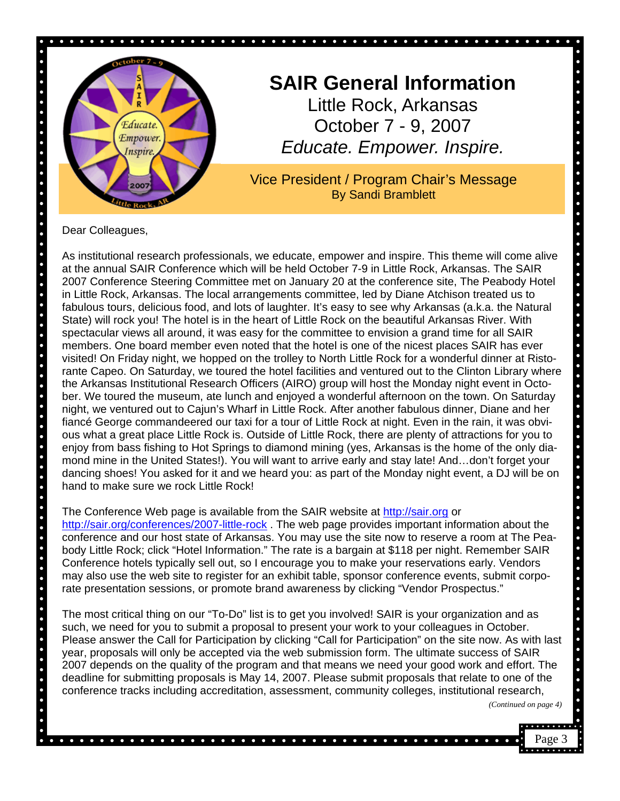

# **SAIR General Information** Little Rock, Arkansas October 7 - 9, 2007 *Educate. Empower. Inspire.*

Vice President / Program Chair's Message By Sandi Bramblett

Dear Colleagues,

 $\bullet$ 

. . . . . . . .

 $\bullet$ 

As institutional research professionals, we educate, empower and inspire. This theme will come alive at the annual SAIR Conference which will be held October 7-9 in Little Rock, Arkansas. The SAIR 2007 Conference Steering Committee met on January 20 at the conference site, The Peabody Hotel in Little Rock, Arkansas. The local arrangements committee, led by Diane Atchison treated us to fabulous tours, delicious food, and lots of laughter. It's easy to see why Arkansas (a.k.a. the Natural State) will rock you! The hotel is in the heart of Little Rock on the beautiful Arkansas River. With spectacular views all around, it was easy for the committee to envision a grand time for all SAIR members. One board member even noted that the hotel is one of the nicest places SAIR has ever visited! On Friday night, we hopped on the trolley to North Little Rock for a wonderful dinner at Ristorante Capeo. On Saturday, we toured the hotel facilities and ventured out to the Clinton Library where the Arkansas Institutional Research Officers (AIRO) group will host the Monday night event in October. We toured the museum, ate lunch and enjoyed a wonderful afternoon on the town. On Saturday night, we ventured out to Cajun's Wharf in Little Rock. After another fabulous dinner, Diane and her fiancé George commandeered our taxi for a tour of Little Rock at night. Even in the rain, it was obvious what a great place Little Rock is. Outside of Little Rock, there are plenty of attractions for you to enjoy from bass fishing to Hot Springs to diamond mining (yes, Arkansas is the home of the only diamond mine in the United States!). You will want to arrive early and stay late! And…don't forget your dancing shoes! You asked for it and we heard you: as part of the Monday night event, a DJ will be on hand to make sure we rock Little Rock!

#### The Conference Web page is available from the SAIR website at<http://sair.org> or

<http://sair.org/conferences/2007-little-rock>. The web page provides important information about the conference and our host state of Arkansas. You may use the site now to reserve a room at The Peabody Little Rock; click "Hotel Information." The rate is a bargain at \$118 per night. Remember SAIR Conference hotels typically sell out, so I encourage you to make your reservations early. Vendors may also use the web site to register for an exhibit table, sponsor conference events, submit corporate presentation sessions, or promote brand awareness by clicking "Vendor Prospectus."

The most critical thing on our "To-Do" list is to get you involved! SAIR is your organization and as such, we need for you to submit a proposal to present your work to your colleagues in October. Please answer the Call for Participation by clicking "Call for Participation" on the site now. As with last year, proposals will only be accepted via the web submission form. The ultimate success of SAIR 2007 depends on the quality of the program and that means we need your good work and effort. The deadline for submitting proposals is May 14, 2007. Please submit proposals that relate to one of the conference tracks including accreditation, assessment, community colleges, institutional research,

*(Continued on page 4)* 

 $\bullet$  $\bullet$ 

 $\bullet$  $\bullet$ 

 $\bullet$  $\bullet$ 

 $\bullet$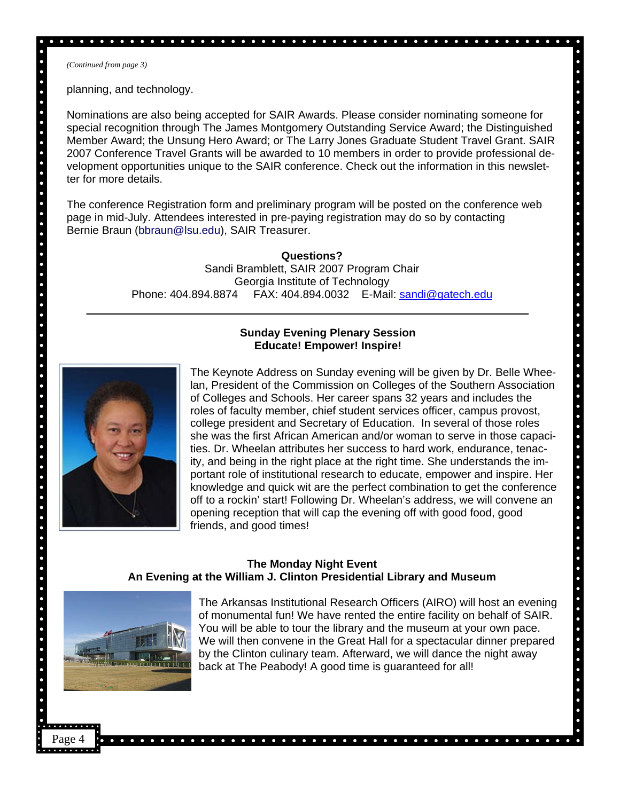*(Continued from page 3)* 

 $\bullet$  $\bullet$  $\bullet$  $\bullet$ 

**. . . . . . . . . . . . . . . . .** .

 $\ddot{\bullet}$ 

 $\bullet$ 

 $\bullet$  $\bullet$ 

 $\bullet$ 

planning, and technology.

Nominations are also being accepted for SAIR Awards. Please consider nominating someone for special recognition through The James Montgomery Outstanding Service Award; the Distinguished Member Award; the Unsung Hero Award; or The Larry Jones Graduate Student Travel Grant. SAIR 2007 Conference Travel Grants will be awarded to 10 members in order to provide professional development opportunities unique to the SAIR conference. Check out the information in this newsletter for more details.

 $\bullet$  $\bullet$  $\bullet$ 

. . . . . . . . . . .

 $\bullet$  $\bullet$ 

 $\ddot{\bullet}$ 

.....

 $\ddot{\phantom{0}}$ 

 $\ddot{\bullet}$ 

. . . . . .

 $\bullet$ 

 $\bullet\hspace{1mm}\bullet\hspace{1mm}\bullet\hspace{1mm}$ 

 $\bullet$  $\bullet$ 

 $\ddot{\bullet}$ 

. . . . .

The conference Registration form and preliminary program will be posted on the conference web page in mid-July. Attendees interested in pre-paying registration may do so by contacting Bernie Braun [\(bbraun@lsu.edu\),](mailto:bbraun@lsu.edu) SAIR Treasurer.

> **Questions?**  Sandi Bramblett, SAIR 2007 Program Chair Georgia Institute of Technology Phone: 404.894.8874 FAX: 404.894.0032 E-Mail[: sandi@gatech.edu](mailto:sandi@gatech.edu)

#### **Sunday Evening Plenary Session Educate! Empower! Inspire!**



The Keynote Address on Sunday evening will be given by Dr. Belle Wheelan, President of the Commission on Colleges of the Southern Association of Colleges and Schools. Her career spans 32 years and includes the roles of faculty member, chief student services officer, campus provost, college president and Secretary of Education. In several of those roles she was the first African American and/or woman to serve in those capacities. Dr. Wheelan attributes her success to hard work, endurance, tenacity, and being in the right place at the right time. She understands the important role of institutional research to educate, empower and inspire. Her knowledge and quick wit are the perfect combination to get the conference off to a rockin' start! Following Dr. Wheelan's address, we will convene an opening reception that will cap the evening off with good food, good friends, and good times!

#### **The Monday Night Event An Evening at the William J. Clinton Presidential Library and Museum**



Page 4

The Arkansas Institutional Research Officers (AIRO) will host an evening of monumental fun! We have rented the entire facility on behalf of SAIR. You will be able to tour the library and the museum at your own pace. We will then convene in the Great Hall for a spectacular dinner prepared by the Clinton culinary team. Afterward, we will dance the night away back at The Peabody! A good time is guaranteed for all!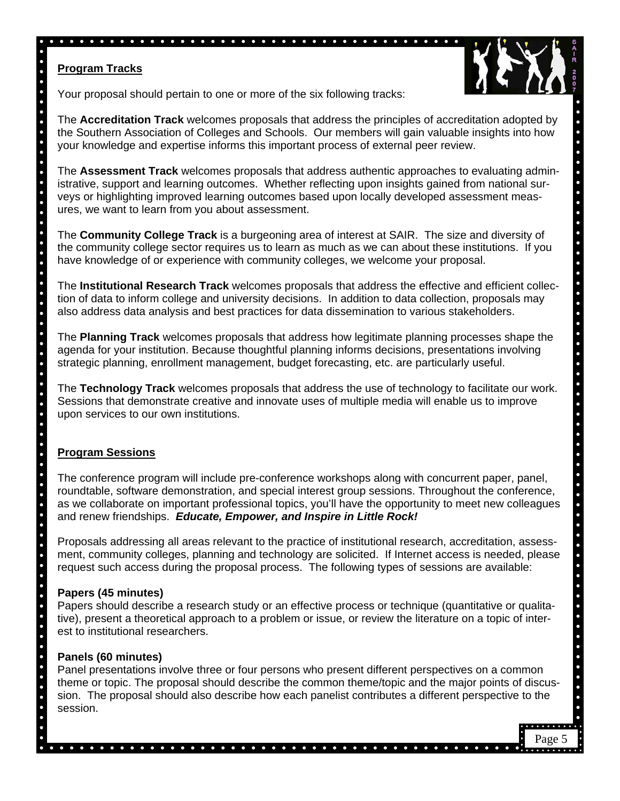### **Program Tracks**



. . . . . . . .

. . . . . . . . . . . . . .

 $\bullet$  $\bullet$ 

 $\ddot{\bullet}$  $\bullet$  $\ddot{\bullet}$  $\bullet$  $\bullet$  $\bullet$  $\bullet$ 

. . . . . .

 $\bullet$ 

.....

 $\bullet$  $\bullet$  $\bullet$  $\bullet$  $\bullet$  $\bullet$  $\bullet$  $\bullet$  $\bullet$ 

Page 5

. . . . . . .

Your proposal should pertain to one or more of the six following tracks:

The **Accreditation Track** welcomes proposals that address the principles of accreditation adopted by the Southern Association of Colleges and Schools. Our members will gain valuable insights into how your knowledge and expertise informs this important process of external peer review.

The **Assessment Track** welcomes proposals that address authentic approaches to evaluating administrative, support and learning outcomes. Whether reflecting upon insights gained from national surveys or highlighting improved learning outcomes based upon locally developed assessment measures, we want to learn from you about assessment.

The **Community College Track** is a burgeoning area of interest at SAIR. The size and diversity of the community college sector requires us to learn as much as we can about these institutions. If you have knowledge of or experience with community colleges, we welcome your proposal.

The **Institutional Research Track** welcomes proposals that address the effective and efficient collection of data to inform college and university decisions. In addition to data collection, proposals may also address data analysis and best practices for data dissemination to various stakeholders.

The **Planning Track** welcomes proposals that address how legitimate planning processes shape the agenda for your institution. Because thoughtful planning informs decisions, presentations involving strategic planning, enrollment management, budget forecasting, etc. are particularly useful.

The **Technology Track** welcomes proposals that address the use of technology to facilitate our work. Sessions that demonstrate creative and innovate uses of multiple media will enable us to improve upon services to our own institutions.

### **Program Sessions**

The conference program will include pre-conference workshops along with concurrent paper, panel, roundtable, software demonstration, and special interest group sessions. Throughout the conference, as we collaborate on important professional topics, you'll have the opportunity to meet new colleagues and renew friendships. *Educate, Empower, and Inspire in Little Rock!*

Proposals addressing all areas relevant to the practice of institutional research, accreditation, assessment, community colleges, planning and technology are solicited. If Internet access is needed, please request such access during the proposal process. The following types of sessions are available:

### **Papers (45 minutes)**

Papers should describe a research study or an effective process or technique (quantitative or qualitative), present a theoretical approach to a problem or issue, or review the literature on a topic of interest to institutional researchers.

### **Panels (60 minutes)**

Panel presentations involve three or four persons who present different perspectives on a common theme or topic. The proposal should describe the common theme/topic and the major points of discussion. The proposal should also describe how each panelist contributes a different perspective to the session.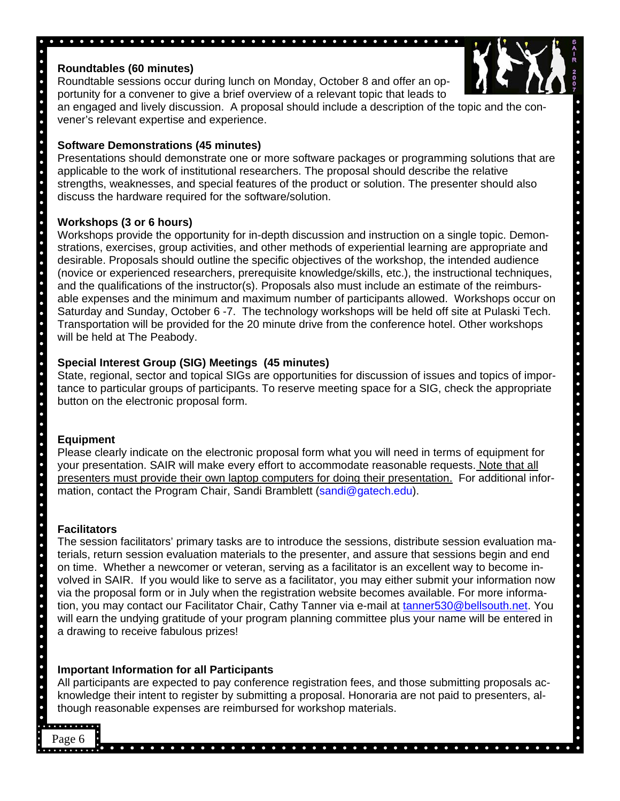### **Roundtables (60 minutes)**

Roundtable sessions occur during lunch on Monday, October 8 and offer an opportunity for a convener to give a brief overview of a relevant topic that leads to

an engaged and lively discussion. A proposal should include a description of the topic and the convener's relevant expertise and experience.

### **Software Demonstrations (45 minutes)**

Presentations should demonstrate one or more software packages or programming solutions that are applicable to the work of institutional researchers. The proposal should describe the relative strengths, weaknesses, and special features of the product or solution. The presenter should also discuss the hardware required for the software/solution.

### **Workshops (3 or 6 hours)**

Workshops provide the opportunity for in-depth discussion and instruction on a single topic. Demonstrations, exercises, group activities, and other methods of experiential learning are appropriate and desirable. Proposals should outline the specific objectives of the workshop, the intended audience (novice or experienced researchers, prerequisite knowledge/skills, etc.), the instructional techniques, and the qualifications of the instructor(s). Proposals also must include an estimate of the reimbursable expenses and the minimum and maximum number of participants allowed. Workshops occur on Saturday and Sunday, October 6 -7. The technology workshops will be held off site at Pulaski Tech. Transportation will be provided for the 20 minute drive from the conference hotel. Other workshops will be held at The Peabody.

### **Special Interest Group (SIG) Meetings (45 minutes)**

State, regional, sector and topical SIGs are opportunities for discussion of issues and topics of importance to particular groups of participants. To reserve meeting space for a SIG, check the appropriate button on the electronic proposal form.

#### **Equipment**

Please clearly indicate on the electronic proposal form what you will need in terms of equipment for your presentation. SAIR will make every effort to accommodate reasonable requests. Note that all presenters must provide their own laptop computers for doing their presentation. For additional infor-mation, contact the Program Chair, Sandi Bramblett [\(sandi@gatech.edu\)](mailto:sandi@gatech.edu).

### **Facilitators**

The session facilitators' primary tasks are to introduce the sessions, distribute session evaluation materials, return session evaluation materials to the presenter, and assure that sessions begin and end on time. Whether a newcomer or veteran, serving as a facilitator is an excellent way to become involved in SAIR. If you would like to serve as a facilitator, you may either submit your information now via the proposal form or in July when the registration website becomes available. For more information, you may contact our Facilitator Chair, Cathy Tanner via e-mail at [tanner530@bellsouth.net.](mailto:tanner530@bellsouth.net) You will earn the undying gratitude of your program planning committee plus your name will be entered in a drawing to receive fabulous prizes!

### **Important Information for all Participants**

All participants are expected to pay conference registration fees, and those submitting proposals acknowledge their intent to register by submitting a proposal. Honoraria are not paid to presenters, although reasonable expenses are reimbursed for workshop materials.

### . . . . . . . .

Page 6



 $\bullet$  $\bullet$  $\bullet$ 

 $\bullet$  $\bullet$ 

. . . . . . . . . . . . . . . . .

 $\bullet$  $\bullet$ 

 $\bullet\hspace{1mm}\bullet\hspace{1mm}\bullet\hspace{1mm}$ 

 $\bullet$  $\bullet$  $\bullet$ 

. . . . . . . . .

 $\bullet$  $\bullet$ 

. . . . . . . . . . .

 $\bullet$  $\bullet$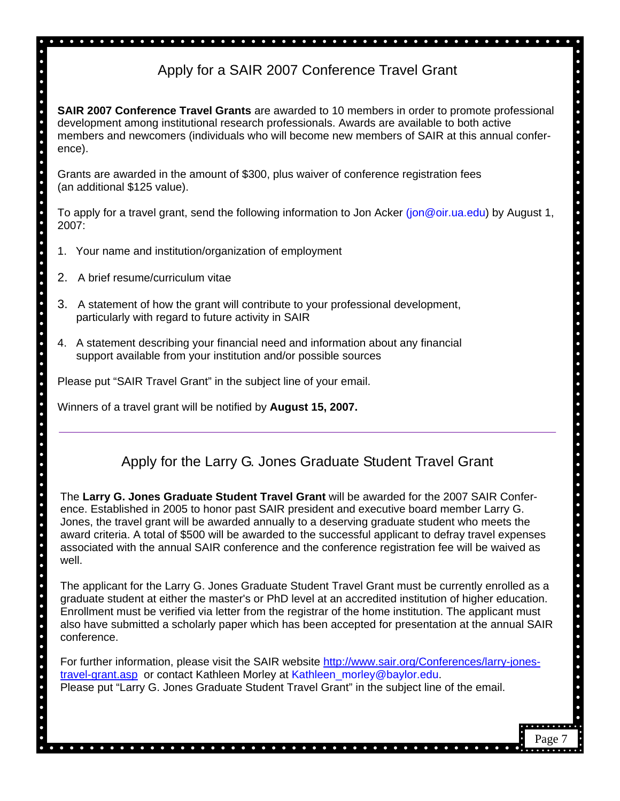# Apply for a SAIR 2007 Conference Travel Grant

 $\bullet$ 

**SAIR 2007 Conference Travel Grants** are awarded to 10 members in order to promote professional development among institutional research professionals. Awards are available to both active members and newcomers (individuals who will become new members of SAIR at this annual conference).

Grants are awarded in the amount of \$300, plus waiver of conference registration fees (an additional \$125 value).

To apply for a travel grant, send the following information to Jon Acker [\(jon@oir.ua.edu\)](mailto:jon@oir.ua.edu) by August 1, 2007:

- 1. Your name and institution/organization of employment
- 2. A brief resume/curriculum vitae
- 3. A statement of how the grant will contribute to your professional development, particularly with regard to future activity in SAIR
- 4. A statement describing your financial need and information about any financial support available from your institution and/or possible sources

Please put "SAIR Travel Grant" in the subject line of your email.

Winners of a travel grant will be notified by **August 15, 2007.**

## Apply for the Larry G. Jones Graduate Student Travel Grant

The **Larry G. Jones Graduate Student Travel Grant** will be awarded for the 2007 SAIR Conference. Established in 2005 to honor past SAIR president and executive board member Larry G. Jones, the travel grant will be awarded annually to a deserving graduate student who meets the award criteria. A total of \$500 will be awarded to the successful applicant to defray travel expenses associated with the annual SAIR conference and the conference registration fee will be waived as well.

The applicant for the Larry G. Jones Graduate Student Travel Grant must be currently enrolled as a graduate student at either the master's or PhD level at an accredited institution of higher education. Enrollment must be verified via letter from the registrar of the home institution. The applicant must also have submitted a scholarly paper which has been accepted for presentation at the annual SAIR conference.

For further information, please visit the SAIR website [http://www.sair.org/Conferences/larry-jones](http://www.sair.org/conferences/larry-jones-travel-grant.asp)[travel-grant.asp](http://www.sair.org/conferences/larry-jones-travel-grant.asp) or contact Kathleen Morley at Kathleen morley@baylor.edu. Please put "Larry G. Jones Graduate Student Travel Grant" in the subject line of the email.

 $\bullet$  $\bullet$  $\bullet$  $\bullet$ 

. . . . . . .

 $\bullet$ 

. . . . . . . . . . . . . .

 $\bullet$  $\bullet$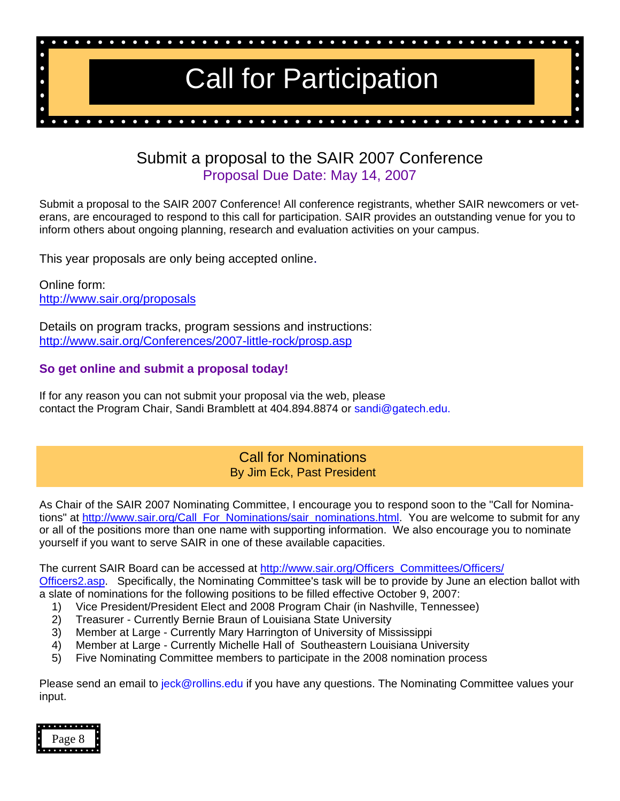

## Submit a proposal to the SAIR 2007 Conference Proposal Due Date: May 14, 2007

Submit a proposal to the SAIR 2007 Conference! All conference registrants, whether SAIR newcomers or veterans, are encouraged to respond to this call for participation. SAIR provides an outstanding venue for you to inform others about ongoing planning, research and evaluation activities on your campus.

This year proposals are only being accepted online.

Online form: <http://www.sair.org/proposals>

Details on program tracks, program sessions and instructions: [http://www.sair.org/Conferences/2007-little-rock/prosp.asp](http://www.sair.org/conferences/2007-little-rock/prosp.asp)

### **So get online and submit a proposal today!**

If for any reason you can not submit your proposal via the web, please contact the Program Chair, Sandi Bramblett at 404.894.8874 or [sandi@gatech.edu.](mailto:sandi@gatech.edu)

### Call for Nominations By Jim Eck, Past President

As Chair of the SAIR 2007 Nominating Committee, I encourage you to respond soon to the "Call for Nominations" at [http://www.sair.org/Call\\_For\\_Nominations/sair\\_nominations.html.](http://www.sair.org/call_for_nominations/sair_nominations.html) You are welcome to submit for any or all of the positions more than one name with supporting information. We also encourage you to nominate yourself if you want to serve SAIR in one of these available capacities.

The current SAIR Board can be accessed at [http://www.sair.org/Officers\\_Committees/Officers/](http://www.sair.org/officers_committees/officers/officers2.asp) Officers2.asp. Specifically, the Nominating Committee's task will be to provide by June an election ballot with a slate of nominations for the following positions to be filled effective October 9, 2007:

- 1) Vice President/President Elect and 2008 Program Chair (in Nashville, Tennessee)
- 2) Treasurer Currently Bernie Braun of Louisiana State University
- 3) Member at Large Currently Mary Harrington of University of Mississippi
- 4) Member at Large Currently Michelle Hall of Southeastern Louisiana University
- 5) Five Nominating Committee members to participate in the 2008 nomination process

Please send an email to [jeck@rollins.edu](mailto:jeck@rollins.edu) if you have any questions. The Nominating Committee values your input.

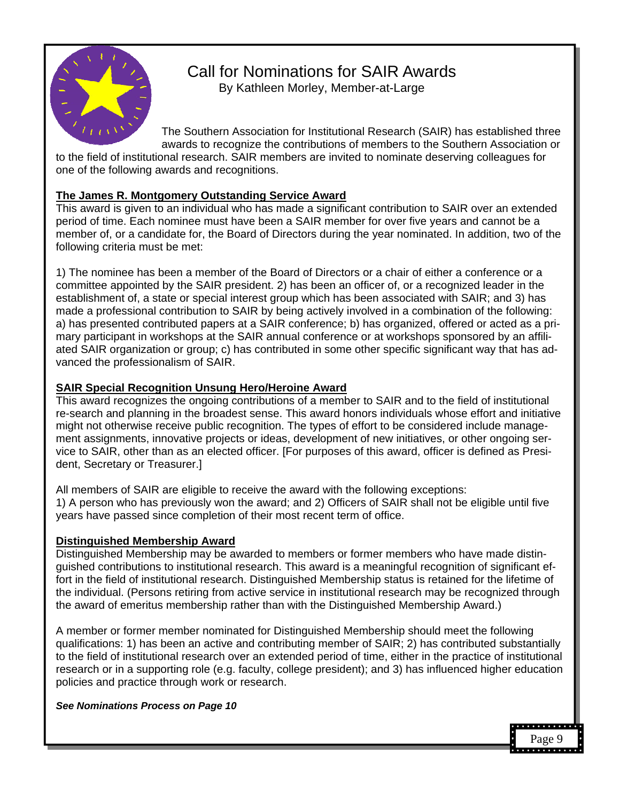

## Call for Nominations for SAIR Awards By Kathleen Morley, Member-at-Large

The Southern Association for Institutional Research (SAIR) has established three awards to recognize the contributions of members to the Southern Association or

to the field of institutional research. SAIR members are invited to nominate deserving colleagues for one of the following awards and recognitions.

### **The James R. Montgomery Outstanding Service Award**

This award is given to an individual who has made a significant contribution to SAIR over an extended period of time. Each nominee must have been a SAIR member for over five years and cannot be a member of, or a candidate for, the Board of Directors during the year nominated. In addition, two of the following criteria must be met:

1) The nominee has been a member of the Board of Directors or a chair of either a conference or a committee appointed by the SAIR president. 2) has been an officer of, or a recognized leader in the establishment of, a state or special interest group which has been associated with SAIR; and 3) has made a professional contribution to SAIR by being actively involved in a combination of the following: a) has presented contributed papers at a SAIR conference; b) has organized, offered or acted as a primary participant in workshops at the SAIR annual conference or at workshops sponsored by an affiliated SAIR organization or group; c) has contributed in some other specific significant way that has advanced the professionalism of SAIR.

### **SAIR Special Recognition Unsung Hero/Heroine Award**

This award recognizes the ongoing contributions of a member to SAIR and to the field of institutional re-search and planning in the broadest sense. This award honors individuals whose effort and initiative might not otherwise receive public recognition. The types of effort to be considered include management assignments, innovative projects or ideas, development of new initiatives, or other ongoing service to SAIR, other than as an elected officer. [For purposes of this award, officer is defined as President, Secretary or Treasurer.]

All members of SAIR are eligible to receive the award with the following exceptions: 1) A person who has previously won the award; and 2) Officers of SAIR shall not be eligible until five years have passed since completion of their most recent term of office.

#### **Distinguished Membership Award**

Distinguished Membership may be awarded to members or former members who have made distinguished contributions to institutional research. This award is a meaningful recognition of significant effort in the field of institutional research. Distinguished Membership status is retained for the lifetime of the individual. (Persons retiring from active service in institutional research may be recognized through the award of emeritus membership rather than with the Distinguished Membership Award.)

A member or former member nominated for Distinguished Membership should meet the following qualifications: 1) has been an active and contributing member of SAIR; 2) has contributed substantially to the field of institutional research over an extended period of time, either in the practice of institutional research or in a supporting role (e.g. faculty, college president); and 3) has influenced higher education policies and practice through work or research.

Page 9

*See Nominations Process on Page 10*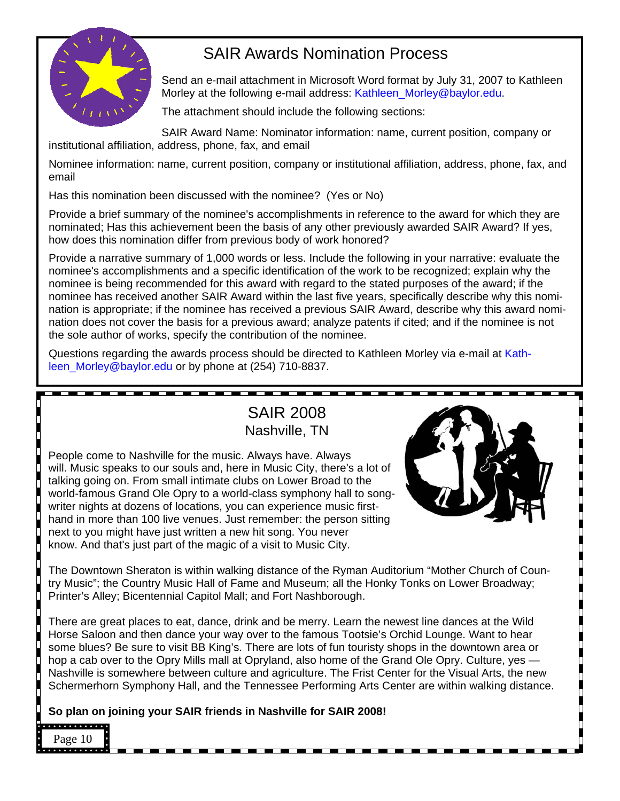

# SAIR Awards Nomination Process

Send an e-mail attachment in Microsoft Word format by July 31, 2007 to Kathleen Morley at the following e-mail address: Kathleen Morley@baylor.edu.

The attachment should include the following sections:

SAIR Award Name: Nominator information: name, current position, company or institutional affiliation, address, phone, fax, and email

Nominee information: name, current position, company or institutional affiliation, address, phone, fax, and email

Has this nomination been discussed with the nominee? (Yes or No)

Provide a brief summary of the nominee's accomplishments in reference to the award for which they are nominated; Has this achievement been the basis of any other previously awarded SAIR Award? If yes, how does this nomination differ from previous body of work honored?

Provide a narrative summary of 1,000 words or less. Include the following in your narrative: evaluate the nominee's accomplishments and a specific identification of the work to be recognized; explain why the nominee is being recommended for this award with regard to the stated purposes of the award; if the nominee has received another SAIR Award within the last five years, specifically describe why this nomination is appropriate; if the nominee has received a previous SAIR Award, describe why this award nomination does not cover the basis for a previous award; analyze patents if cited; and if the nominee is not the sole author of works, specify the contribution of the nominee.

Questions regarding the awards process should be directed to Kathleen Morley via e-mail at [Kath](mailto:kathleen_morley@baylor.edu)[leen\\_Morley@baylor.edu o](mailto:kathleen_morley@baylor.edu)r by phone at (254) 710-8837.

# SAIR 2008 Nashville, TN

People come to Nashville for the music. Always have. Always will. Music speaks to our souls and, here in Music City, there's a lot of talking going on. From small intimate clubs on Lower Broad to the world-famous Grand Ole Opry to a world-class symphony hall to songwriter nights at dozens of locations, you can experience music firsthand in more than 100 live venues. Just remember: the person sitting next to you might have just written a new hit song. You never know. And that's just part of the magic of a visit to Music City.



The Downtown Sheraton is within walking distance of the Ryman Auditorium "Mother Church of Country Music"; the Country Music Hall of Fame and Museum; all the Honky Tonks on Lower Broadway; Printer's Alley; Bicentennial Capitol Mall; and Fort Nashborough.

There are great places to eat, dance, drink and be merry. Learn the newest line dances at the Wild Horse Saloon and then dance your way over to the famous Tootsie's Orchid Lounge. Want to hear some blues? Be sure to visit BB King's. There are lots of fun touristy shops in the downtown area or hop a cab over to the Opry Mills mall at Opryland, also home of the Grand Ole Opry. Culture, yes -Nashville is somewhere between culture and agriculture. The Frist Center for the Visual Arts, the new Schermerhorn Symphony Hall, and the Tennessee Performing Arts Center are within walking distance.

**So plan on joining your SAIR friends in Nashville for SAIR 2008!** 

### . . . . . . . . . . . . . Page 10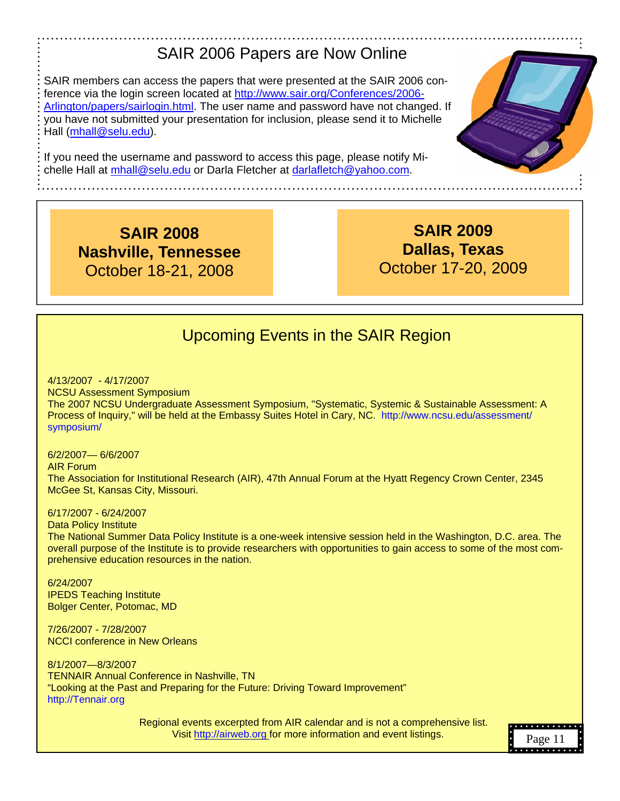# SAIR 2006 Papers are Now Online

SAIR members can access the papers that were presented at the SAIR 2006 conference via the login screen located a[t http://www.sair.org/Conferences/2006-](http://www.sair.org/conferences/2006-arlington/papers/sairlogin.html) [Arlington/papers/sairlogin.html.](http://www.sair.org/conferences/2006-arlington/papers/sairlogin.html) The user name and password have not changed. If you have not submitted your presentation for inclusion, please send it to Michelle Hall [\(mhall@selu.edu\)](mailto:mhall@selu.edu).

If you need the username and password to access this page, please notify Michelle Hall at [mhall@selu.edu o](mailto:mhall@selu.edu)r Darla Fletcher at [darlafletch@yahoo.com.](mailto:darlafletch@yahoo.com) 

**SAIR 2008 Nashville, Tennessee** October 18-21, 2008

**SAIR 2009 Dallas, Texas**  October 17-20, 2009

# Upcoming Events in the SAIR Region

4/13/2007 - 4/17/2007 NCSU Assessment Symposium The 2007 NCSU Undergraduate Assessment Symposium, "Systematic, Systemic & Sustainable Assessment: A Process of Inquiry," will be held at the Embassy Suites Hotel in Cary, NC. [http://www.ncsu.edu/assessment/](http://www.ncsu.edu/assessment/symposium) [symposium/](http://www.ncsu.edu/assessment/symposium) 

6/2/2007— 6/6/2007 AIR Forum The Association for Institutional Research (AIR), 47th Annual Forum at the Hyatt Regency Crown Center, 2345 McGee St, Kansas City, Missouri.

#### 6/17/2007 - 6/24/2007

Data Policy Institute The National Summer Data Policy Institute is a one-week intensive session held in the Washington, D.C. area. The overall purpose of the Institute is to provide researchers with opportunities to gain access to some of the most comprehensive education resources in the nation.

6/24/2007 IPEDS Teaching Institute Bolger Center, Potomac, MD

7/26/2007 - 7/28/2007 NCCI conference in New Orleans

8/1/2007—8/3/2007 TENNAIR Annual Conference in Nashville, TN "Looking at the Past and Preparing for the Future: Driving Toward Improvement" [http://Tennair.org](http://tennair.org)

> Regional events excerpted from AIR calendar and is not a comprehensive list. Visi[t http://airweb.org fo](http://airweb.org)r more information and event listings.

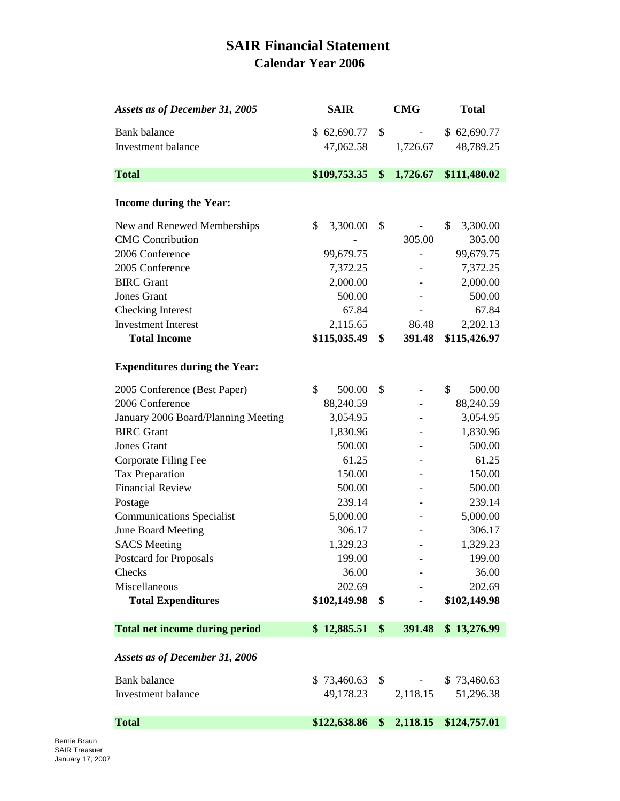## **SAIR Financial Statement Calendar Year 2006**

| Assets as of December 31, 2005        | <b>SAIR</b>    | CMG            | <b>Total</b>   |
|---------------------------------------|----------------|----------------|----------------|
| <b>Bank</b> balance                   | \$62,690.77    | \$             | \$62,690.77    |
| <b>Investment</b> balance             | 47,062.58      | 1,726.67       | 48,789.25      |
|                                       |                |                |                |
| <b>Total</b>                          | \$109,753.35   | \$<br>1,726.67 | \$111,480.02   |
|                                       |                |                |                |
| <b>Income during the Year:</b>        |                |                |                |
| New and Renewed Memberships           | 3,300.00<br>\$ | \$             | \$<br>3,300.00 |
| <b>CMG</b> Contribution               |                | 305.00         | 305.00         |
| 2006 Conference                       | 99,679.75      |                | 99,679.75      |
| 2005 Conference                       | 7,372.25       |                | 7,372.25       |
| <b>BIRC</b> Grant                     | 2,000.00       |                | 2,000.00       |
| <b>Jones Grant</b>                    | 500.00         |                | 500.00         |
| <b>Checking Interest</b>              | 67.84          |                | 67.84          |
| <b>Investment Interest</b>            | 2,115.65       | 86.48          | 2,202.13       |
| <b>Total Income</b>                   | \$115,035.49   | \$<br>391.48   | \$115,426.97   |
| <b>Expenditures during the Year:</b>  |                |                |                |
| 2005 Conference (Best Paper)          | \$<br>500.00   | \$             | \$<br>500.00   |
| 2006 Conference                       | 88,240.59      |                | 88,240.59      |
| January 2006 Board/Planning Meeting   | 3,054.95       |                | 3,054.95       |
| <b>BIRC</b> Grant                     | 1,830.96       |                | 1,830.96       |
| Jones Grant                           | 500.00         |                | 500.00         |
| Corporate Filing Fee                  | 61.25          |                | 61.25          |
| Tax Preparation                       | 150.00         |                | 150.00         |
| <b>Financial Review</b>               | 500.00         |                | 500.00         |
| Postage                               | 239.14         |                | 239.14         |
| <b>Communications Specialist</b>      | 5,000.00       |                | 5,000.00       |
| June Board Meeting                    | 306.17         |                | 306.17         |
| <b>SACS</b> Meeting                   | 1,329.23       |                | 1,329.23       |
| Postcard for Proposals                | 199.00         |                | 199.00         |
| Checks                                | 36.00          |                | 36.00          |
| Miscellaneous                         | 202.69         |                | 202.69         |
| <b>Total Expenditures</b>             | \$102,149.98   | \$             | \$102,149.98   |
| <b>Total net income during period</b> | \$12,885.51    | \$<br>391.48   | \$13,276.99    |
| Assets as of December 31, 2006        |                |                |                |
| <b>Bank</b> balance                   | \$73,460.63    | \$             | \$73,460.63    |
| Investment balance                    | 49,178.23      | 2,118.15       | 51,296.38      |
| <b>Total</b>                          | \$122,638.86   | \$<br>2,118.15 | \$124,757.01   |
|                                       |                |                |                |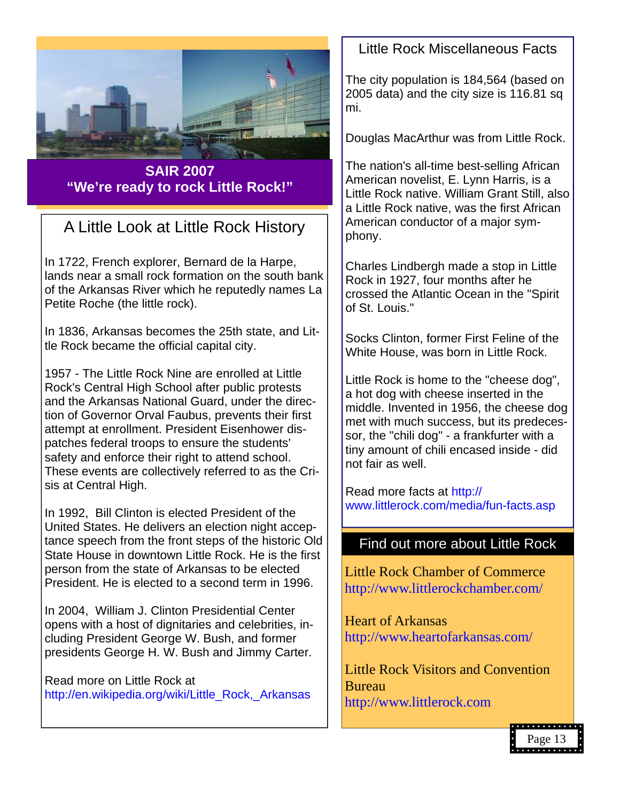

**SAIR 2007 "We're ready to rock Little Rock!"** 

# A Little Look at Little Rock History

In 1722, French explorer, Bernard de la Harpe, lands near a small rock formation on the south bank of the Arkansas River which he reputedly names La Petite Roche (the little rock).

In 1836, Arkansas becomes the 25th state, and Little Rock became the official capital city.

1957 - The Little Rock Nine are enrolled at Little Rock's Central High School after public protests and the Arkansas National Guard, under the direction of Governor Orval Faubus, prevents their first attempt at enrollment. President Eisenhower dispatches federal troops to ensure the students' safety and enforce their right to attend school. These events are collectively referred to as the Crisis at Central High.

In 1992, Bill Clinton is elected President of the United States. He delivers an election night acceptance speech from the front steps of the historic Old State House in downtown Little Rock. He is the first person from the state of Arkansas to be elected President. He is elected to a second term in 1996.

In 2004, William J. Clinton Presidential Center opens with a host of dignitaries and celebrities, including President George W. Bush, and former presidents George H. W. Bush and Jimmy Carter.

Read more on Little Rock at [http://en.wikipedia.org/wiki/Little\\_Rock,\\_Arkansas](http://en.wikipedia.org/wiki/Little_Rock,_Arkansas ) 

## Little Rock Miscellaneous Facts

The city population is 184,564 (based on 2005 data) and the city size is 116.81 sq mi.

Douglas MacArthur was from Little Rock.

The nation's all-time best-selling African American novelist, E. Lynn Harris, is a Little Rock native. William Grant Still, also a Little Rock native, was the first African American conductor of a major symphony.

Charles Lindbergh made a stop in Little Rock in 1927, four months after he crossed the Atlantic Ocean in the "Spirit of St. Louis."

Socks Clinton, former First Feline of the White House, was born in Little Rock.

Little Rock is home to the "cheese dog", a hot dog with cheese inserted in the middle. Invented in 1956, the cheese dog met with much success, but its predecessor, the "chili dog" - a frankfurter with a tiny amount of chili encased inside - did not fair as well.

Read more facts [at http://](http://www.littlerock.com/media/fun-facts.asp) [www.littlerock.com/media/fun-facts.asp](http://www.littlerock.com/media/fun-facts.asp)

### Find out more about Little Rock

Little Rock Chamber of Commerce [http://www.littlerockchamber.com/](http://littlerockchamber.com)

Heart of Arkansas [http://www.heartofarkansas.com/](http://www.heartofarkansas.com) 

Little Rock Visitors and Convention Bureau <http://www.littlerock.com>